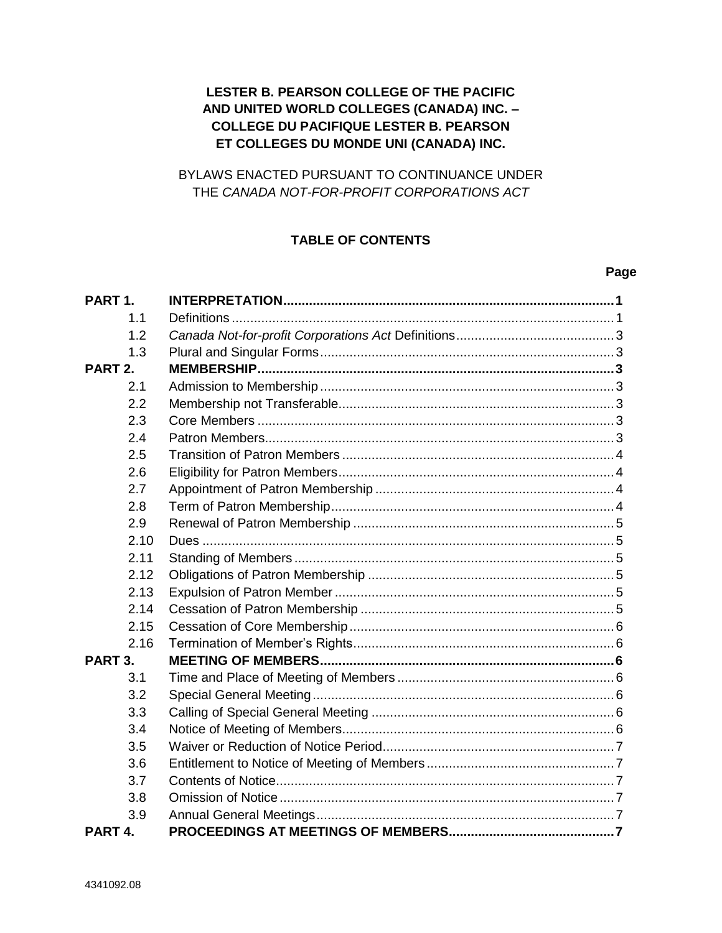# LESTER B. PEARSON COLLEGE OF THE PACIFIC AND UNITED WORLD COLLEGES (CANADA) INC. -**COLLEGE DU PACIFIQUE LESTER B. PEARSON** ET COLLEGES DU MONDE UNI (CANADA) INC.

# BYLAWS ENACTED PURSUANT TO CONTINUANCE UNDER THE CANADA NOT-FOR-PROFIT CORPORATIONS ACT

# **TABLE OF CONTENTS**

### Page

| PART <sub>1</sub> . |  |
|---------------------|--|
| 1.1                 |  |
| 1.2                 |  |
| 1.3                 |  |
| PART <sub>2.</sub>  |  |
| 2.1                 |  |
| 2.2                 |  |
| 2.3                 |  |
| 2.4                 |  |
| 2.5                 |  |
| 2.6                 |  |
| 2.7                 |  |
| 2.8                 |  |
| 2.9                 |  |
| 2.10                |  |
| 2.11                |  |
| 2.12                |  |
| 2.13                |  |
| 2.14                |  |
| 2.15                |  |
| 2.16                |  |
| PART <sub>3</sub> . |  |
| 3.1                 |  |
| 3.2                 |  |
| 3.3                 |  |
| 3.4                 |  |
| 3.5                 |  |
| 3.6                 |  |
| 3.7                 |  |
| 3.8                 |  |
| 3.9                 |  |
| PART <sub>4</sub> . |  |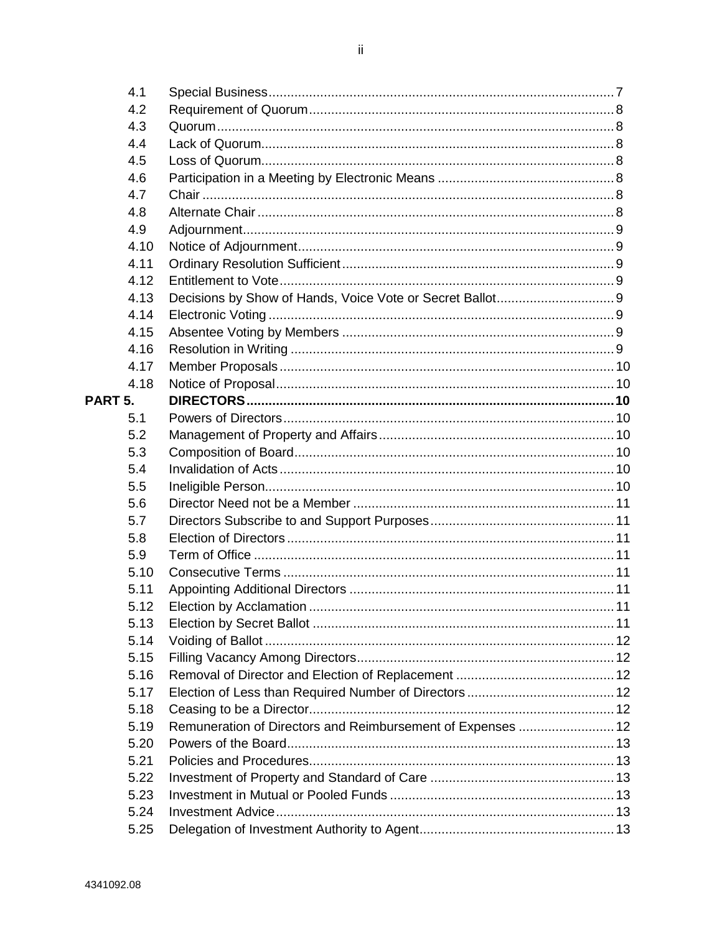| 4.1                 |                                                             |  |
|---------------------|-------------------------------------------------------------|--|
| 4.2                 |                                                             |  |
| 4.3                 |                                                             |  |
| 4.4                 |                                                             |  |
| 4.5                 |                                                             |  |
| 4.6                 |                                                             |  |
| 4.7                 |                                                             |  |
| 4.8                 |                                                             |  |
| 4.9                 |                                                             |  |
| 4.10                |                                                             |  |
| 4.11                |                                                             |  |
| 4.12                |                                                             |  |
| 4.13                |                                                             |  |
| 4.14                |                                                             |  |
| 4.15                |                                                             |  |
| 4.16                |                                                             |  |
| 4.17                |                                                             |  |
| 4.18                |                                                             |  |
| PART <sub>5</sub> . |                                                             |  |
| 5.1                 |                                                             |  |
| 5.2                 |                                                             |  |
| 5.3                 |                                                             |  |
| 5.4                 |                                                             |  |
| 5.5                 |                                                             |  |
| 5.6                 |                                                             |  |
| 5.7                 |                                                             |  |
| 5.8                 |                                                             |  |
| 5.9                 |                                                             |  |
| 5.10                |                                                             |  |
| 5.11                |                                                             |  |
| 5.12                |                                                             |  |
| 5.13                |                                                             |  |
| 5.14                |                                                             |  |
| 5.15                |                                                             |  |
| 5.16                |                                                             |  |
| 5.17                |                                                             |  |
| 5.18                |                                                             |  |
| 5.19                | Remuneration of Directors and Reimbursement of Expenses  12 |  |
| 5.20                |                                                             |  |
| 5.21                |                                                             |  |
| 5.22                |                                                             |  |
| 5.23                |                                                             |  |
| 5.24                |                                                             |  |
| 5.25                |                                                             |  |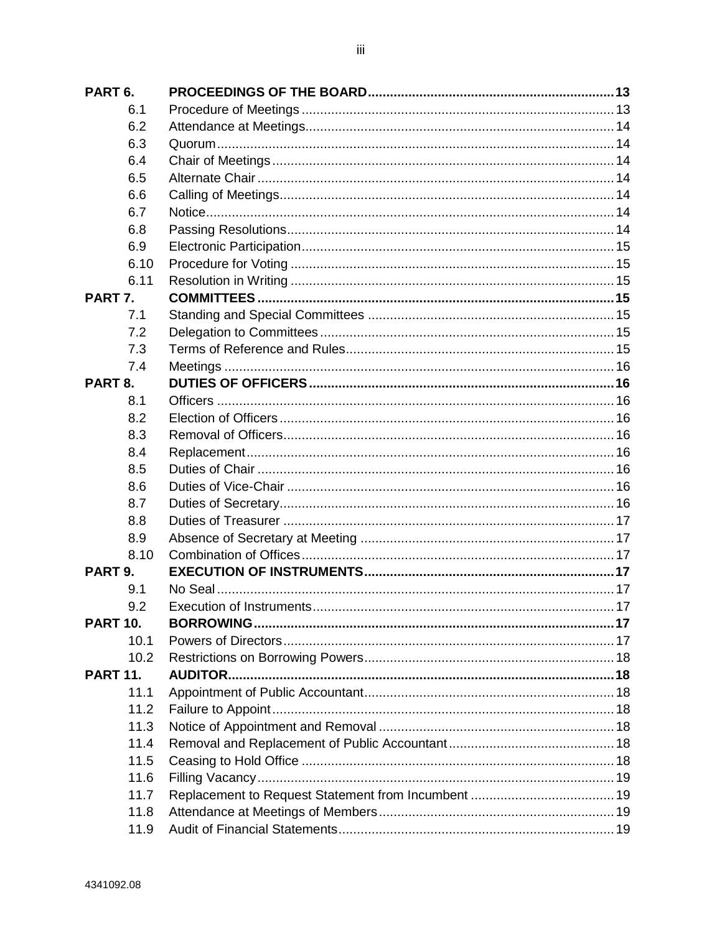| PART <sub>6</sub> . |  |
|---------------------|--|
| 6.1                 |  |
| 6.2                 |  |
| 6.3                 |  |
| 6.4                 |  |
| 6.5                 |  |
| 6.6                 |  |
| 6.7                 |  |
| 6.8                 |  |
| 6.9                 |  |
| 6.10                |  |
| 6.11                |  |
| PART 7.             |  |
| 7.1                 |  |
| 7.2                 |  |
| 7.3                 |  |
| 7.4                 |  |
| PART <sub>8.</sub>  |  |
| 8.1                 |  |
| 8.2                 |  |
| 8.3                 |  |
| 8.4                 |  |
| 8.5                 |  |
| 8.6                 |  |
| 8.7                 |  |
| 8.8                 |  |
| 8.9                 |  |
| 8.10                |  |
| PART <sub>9.</sub>  |  |
| 9.1                 |  |
| 9.2                 |  |
| <b>PART 10.</b>     |  |
| 10.1                |  |
| 10.2                |  |
| <b>PART 11.</b>     |  |
| 11.1                |  |
| 11.2                |  |
| 11.3                |  |
| 11.4                |  |
| 11.5                |  |
| 11.6                |  |
| 11.7                |  |
| 11.8                |  |
| 11.9                |  |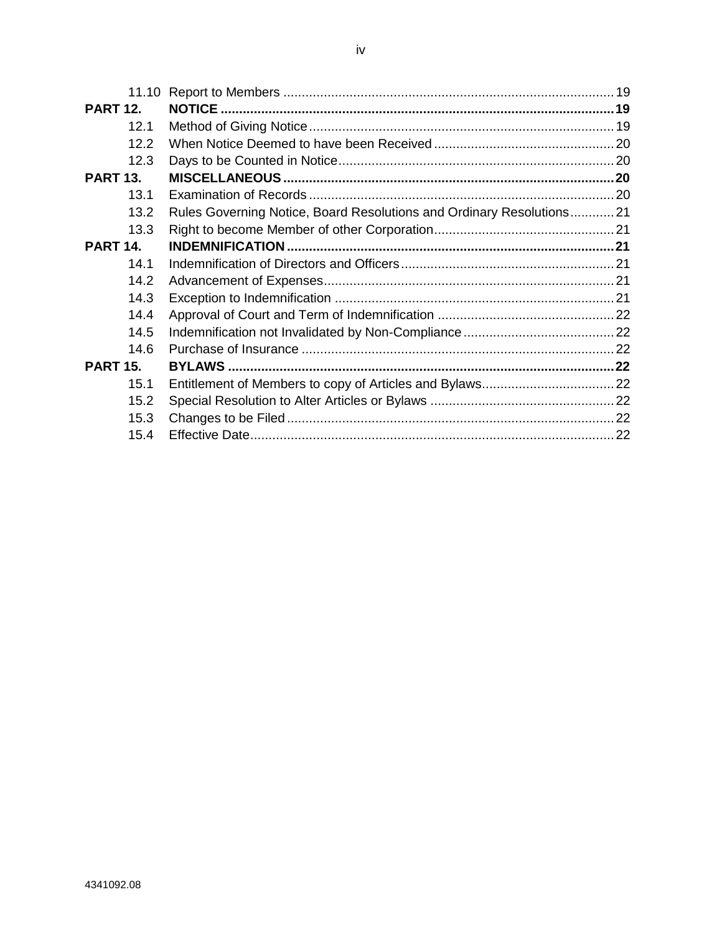| <b>PART 12.</b> |                                                                      |  |
|-----------------|----------------------------------------------------------------------|--|
| 12.1            |                                                                      |  |
| 12.2            |                                                                      |  |
| 12.3            |                                                                      |  |
| <b>PART 13.</b> |                                                                      |  |
| 13.1            |                                                                      |  |
| 13.2            | Rules Governing Notice, Board Resolutions and Ordinary Resolutions21 |  |
| 13.3            |                                                                      |  |
| <b>PART 14.</b> |                                                                      |  |
| 14.1            |                                                                      |  |
| 14.2            |                                                                      |  |
| 14.3            |                                                                      |  |
| 14.4            |                                                                      |  |
| 14.5            |                                                                      |  |
| 14.6            |                                                                      |  |
| <b>PART 15.</b> |                                                                      |  |
| 15.1            |                                                                      |  |
| 15.2            |                                                                      |  |
| 15.3            |                                                                      |  |
| 15.4            |                                                                      |  |
|                 |                                                                      |  |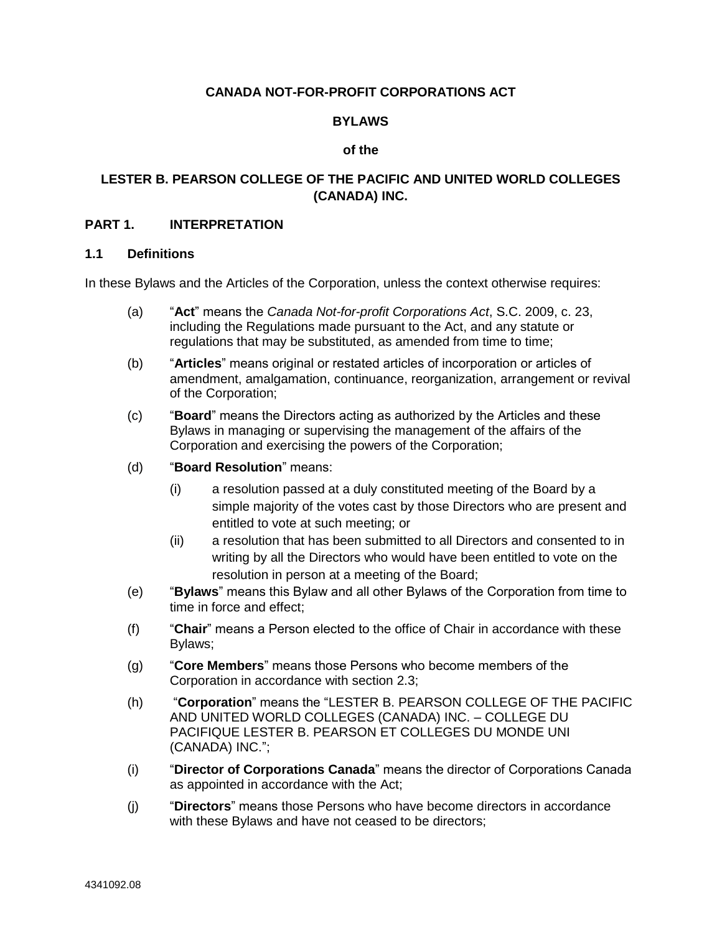## **CANADA NOT-FOR-PROFIT CORPORATIONS ACT**

### **BYLAWS**

### **of the**

## **LESTER B. PEARSON COLLEGE OF THE PACIFIC AND UNITED WORLD COLLEGES (CANADA) INC.**

### <span id="page-4-0"></span>**PART 1. INTERPRETATION**

### <span id="page-4-1"></span>**1.1 Definitions**

In these Bylaws and the Articles of the Corporation, unless the context otherwise requires:

- (a) "**Act**" means the *Canada Not-for-profit Corporations Act*, S.C. 2009, c. 23, including the Regulations made pursuant to the Act, and any statute or regulations that may be substituted, as amended from time to time;
- (b) "**Articles**" means original or restated articles of incorporation or articles of amendment, amalgamation, continuance, reorganization, arrangement or revival of the Corporation;
- (c) "**Board**" means the Directors acting as authorized by the Articles and these Bylaws in managing or supervising the management of the affairs of the Corporation and exercising the powers of the Corporation;
- (d) "**Board Resolution**" means:
	- (i) a resolution passed at a duly constituted meeting of the Board by a simple majority of the votes cast by those Directors who are present and entitled to vote at such meeting; or
	- (ii) a resolution that has been submitted to all Directors and consented to in writing by all the Directors who would have been entitled to vote on the resolution in person at a meeting of the Board;
- (e) "**Bylaws**" means this Bylaw and all other Bylaws of the Corporation from time to time in force and effect;
- (f) "**Chair**" means a Person elected to the office of Chair in accordance with these Bylaws;
- (g) "**Core Members**" means those Persons who become members of the Corporation in accordance with section [2.3;](#page-6-5)
- (h) "**Corporation**" means the "LESTER B. PEARSON COLLEGE OF THE PACIFIC AND UNITED WORLD COLLEGES (CANADA) INC. – COLLEGE DU PACIFIQUE LESTER B. PEARSON ET COLLEGES DU MONDE UNI (CANADA) INC.";
- (i) "**Director of Corporations Canada**" means the director of Corporations Canada as appointed in accordance with the Act;
- (j) "**Directors**" means those Persons who have become directors in accordance with these Bylaws and have not ceased to be directors;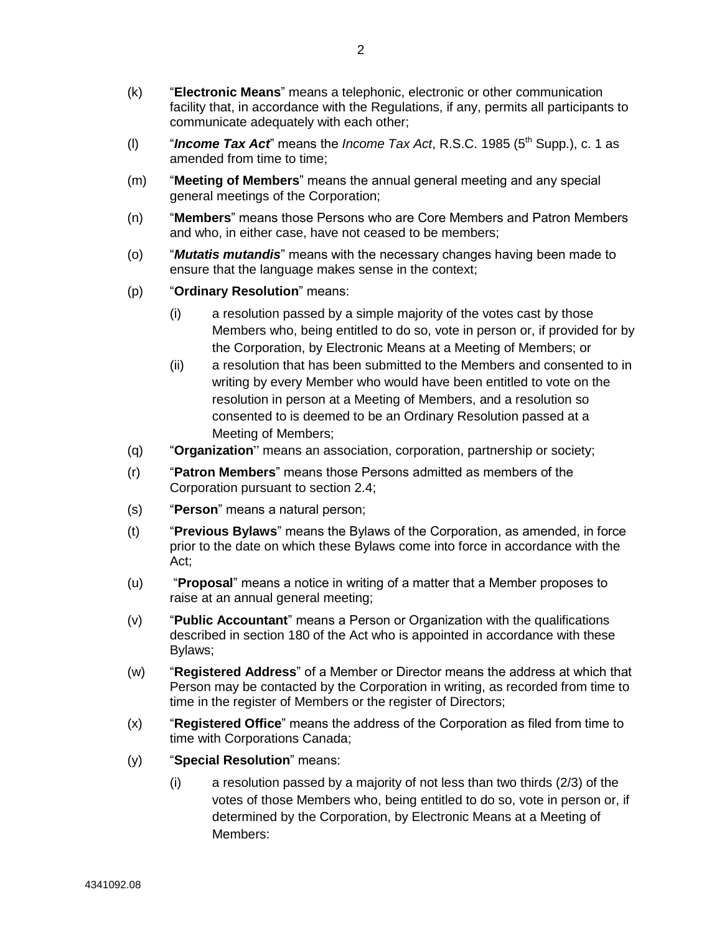- (k) "**Electronic Means**" means a telephonic, electronic or other communication facility that, in accordance with the Regulations, if any, permits all participants to communicate adequately with each other;
- (I)  $\blacksquare$  *Income Tax Act*" means the *Income Tax Act*, R.S.C. 1985 (5<sup>th</sup> Supp.), c. 1 as amended from time to time:
- (m) "**Meeting of Members**" means the annual general meeting and any special general meetings of the Corporation;
- (n) "**Members**" means those Persons who are Core Members and Patron Members and who, in either case, have not ceased to be members;
- (o) "*Mutatis mutandis*" means with the necessary changes having been made to ensure that the language makes sense in the context;
- (p) "**Ordinary Resolution**" means:
	- (i) a resolution passed by a simple majority of the votes cast by those Members who, being entitled to do so, vote in person or, if provided for by the Corporation, by Electronic Means at a Meeting of Members; or
	- (ii) a resolution that has been submitted to the Members and consented to in writing by every Member who would have been entitled to vote on the resolution in person at a Meeting of Members, and a resolution so consented to is deemed to be an Ordinary Resolution passed at a Meeting of Members;
- (q) "**Organization**" means an association, corporation, partnership or society;
- (r) "**Patron Members**" means those Persons admitted as members of the Corporation pursuant to section [2.4;](#page-6-6)
- (s) "**Person**" means a natural person;
- (t) "**Previous Bylaws**" means the Bylaws of the Corporation, as amended, in force prior to the date on which these Bylaws come into force in accordance with the Act;
- (u) "**Proposal**" means a notice in writing of a matter that a Member proposes to raise at an annual general meeting;
- (v) "**Public Accountant**" means a Person or Organization with the qualifications described in section 180 of the Act who is appointed in accordance with these Bylaws;
- (w) "**Registered Address**" of a Member or Director means the address at which that Person may be contacted by the Corporation in writing, as recorded from time to time in the register of Members or the register of Directors;
- (x) "**Registered Office**" means the address of the Corporation as filed from time to time with Corporations Canada;
- (y) "**Special Resolution**" means:
	- (i) a resolution passed by a majority of not less than two thirds (2/3) of the votes of those Members who, being entitled to do so, vote in person or, if determined by the Corporation, by Electronic Means at a Meeting of Members: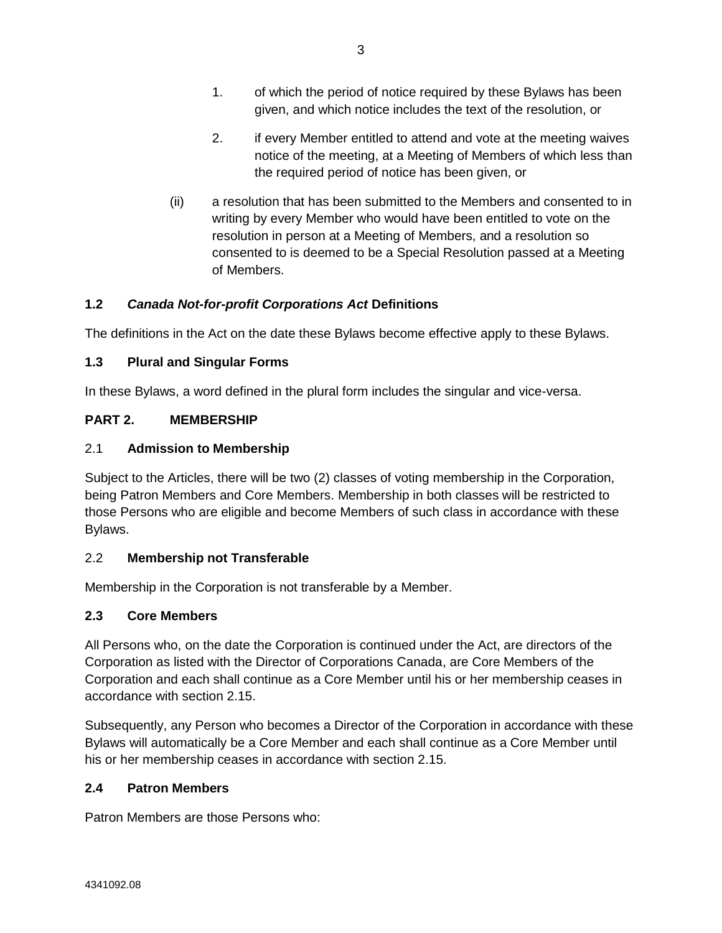- 2. if every Member entitled to attend and vote at the meeting waives notice of the meeting, at a Meeting of Members of which less than the required period of notice has been given, or
- (ii) a resolution that has been submitted to the Members and consented to in writing by every Member who would have been entitled to vote on the resolution in person at a Meeting of Members, and a resolution so consented to is deemed to be a Special Resolution passed at a Meeting of Members.

# <span id="page-6-0"></span>**1.2** *Canada Not-for-profit Corporations Act* **Definitions**

The definitions in the Act on the date these Bylaws become effective apply to these Bylaws.

# <span id="page-6-1"></span>**1.3 Plural and Singular Forms**

In these Bylaws, a word defined in the plural form includes the singular and vice-versa.

# <span id="page-6-2"></span>**PART 2. MEMBERSHIP**

# <span id="page-6-3"></span>2.1 **Admission to Membership**

Subject to the Articles, there will be two (2) classes of voting membership in the Corporation, being Patron Members and Core Members. Membership in both classes will be restricted to those Persons who are eligible and become Members of such class in accordance with these Bylaws.

# <span id="page-6-4"></span>2.2 **Membership not Transferable**

Membership in the Corporation is not transferable by a Member.

# <span id="page-6-5"></span>**2.3 Core Members**

All Persons who, on the date the Corporation is continued under the Act, are directors of the Corporation as listed with the Director of Corporations Canada, are Core Members of the Corporation and each shall continue as a Core Member until his or her membership ceases in accordance with section [2.15.](#page-9-0)

Subsequently, any Person who becomes a Director of the Corporation in accordance with these Bylaws will automatically be a Core Member and each shall continue as a Core Member until his or her membership ceases in accordance with section [2.15.](#page-9-0)

# <span id="page-6-6"></span>**2.4 Patron Members**

Patron Members are those Persons who: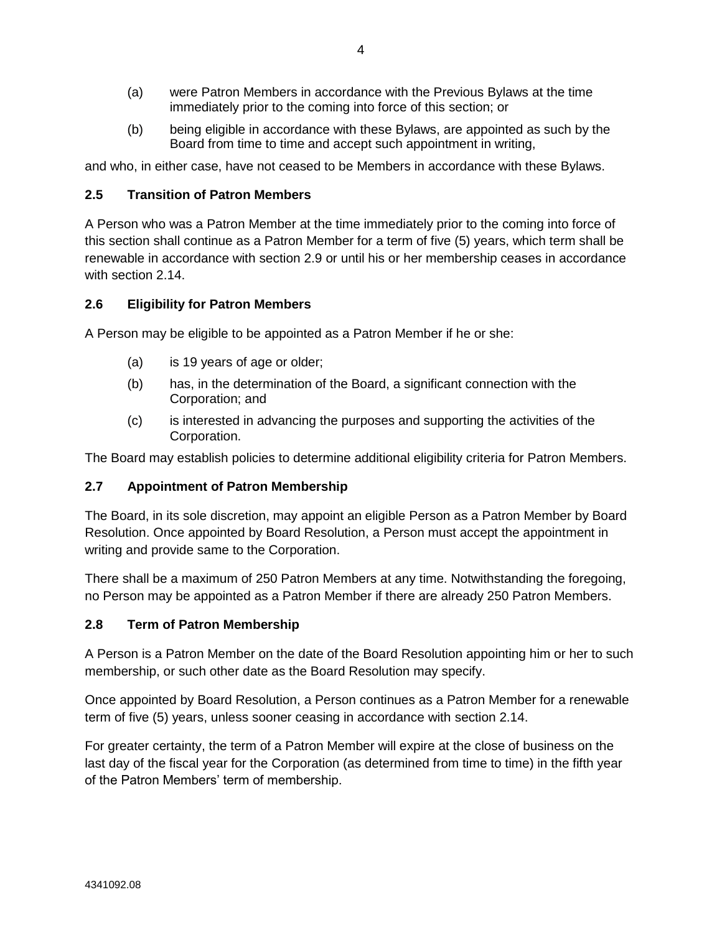- (a) were Patron Members in accordance with the Previous Bylaws at the time immediately prior to the coming into force of this section; or
- (b) being eligible in accordance with these Bylaws, are appointed as such by the Board from time to time and accept such appointment in writing,

and who, in either case, have not ceased to be Members in accordance with these Bylaws.

# <span id="page-7-0"></span>**2.5 Transition of Patron Members**

A Person who was a Patron Member at the time immediately prior to the coming into force of this section shall continue as a Patron Member for a term of five (5) years, which term shall be renewable in accordance with section [2.9](#page-8-0) or until his or her membership ceases in accordance with section [2.14.](#page-8-5)

# <span id="page-7-1"></span>**2.6 Eligibility for Patron Members**

A Person may be eligible to be appointed as a Patron Member if he or she:

- (a) is 19 years of age or older;
- (b) has, in the determination of the Board, a significant connection with the Corporation; and
- (c) is interested in advancing the purposes and supporting the activities of the Corporation.

The Board may establish policies to determine additional eligibility criteria for Patron Members.

## <span id="page-7-2"></span>**2.7 Appointment of Patron Membership**

The Board, in its sole discretion, may appoint an eligible Person as a Patron Member by Board Resolution. Once appointed by Board Resolution, a Person must accept the appointment in writing and provide same to the Corporation.

There shall be a maximum of 250 Patron Members at any time. Notwithstanding the foregoing, no Person may be appointed as a Patron Member if there are already 250 Patron Members.

## <span id="page-7-3"></span>**2.8 Term of Patron Membership**

A Person is a Patron Member on the date of the Board Resolution appointing him or her to such membership, or such other date as the Board Resolution may specify.

Once appointed by Board Resolution, a Person continues as a Patron Member for a renewable term of five (5) years, unless sooner ceasing in accordance with section [2.14.](#page-8-5)

For greater certainty, the term of a Patron Member will expire at the close of business on the last day of the fiscal year for the Corporation (as determined from time to time) in the fifth year of the Patron Members' term of membership.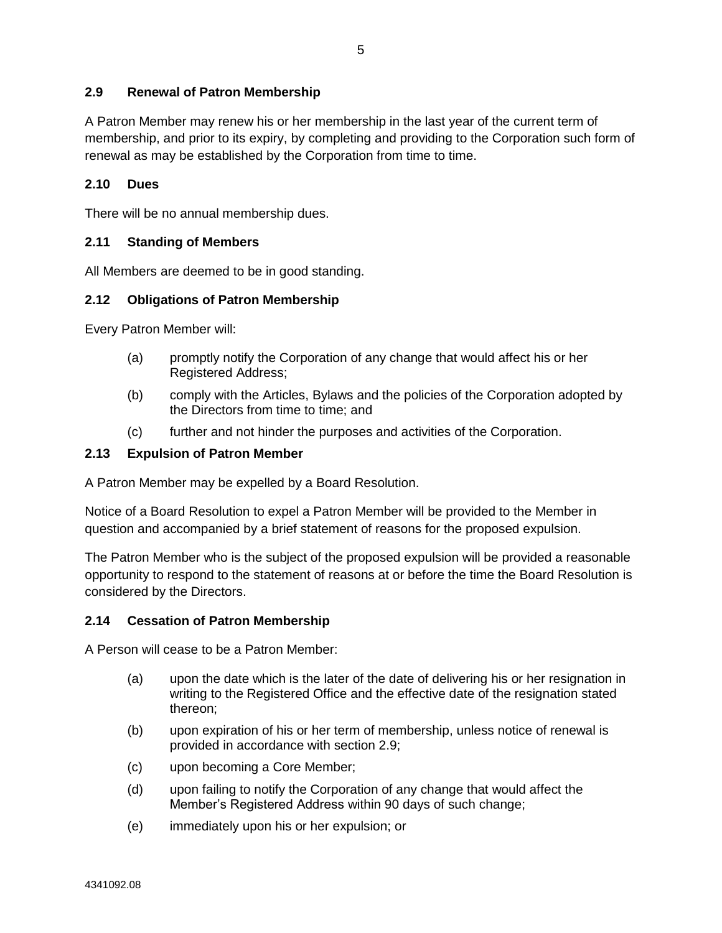## <span id="page-8-0"></span>**2.9 Renewal of Patron Membership**

A Patron Member may renew his or her membership in the last year of the current term of membership, and prior to its expiry, by completing and providing to the Corporation such form of renewal as may be established by the Corporation from time to time.

### <span id="page-8-1"></span>**2.10 Dues**

There will be no annual membership dues.

### <span id="page-8-2"></span>**2.11 Standing of Members**

All Members are deemed to be in good standing.

### <span id="page-8-3"></span>**2.12 Obligations of Patron Membership**

Every Patron Member will:

- (a) promptly notify the Corporation of any change that would affect his or her Registered Address;
- (b) comply with the Articles, Bylaws and the policies of the Corporation adopted by the Directors from time to time; and
- (c) further and not hinder the purposes and activities of the Corporation.

### <span id="page-8-4"></span>**2.13 Expulsion of Patron Member**

A Patron Member may be expelled by a Board Resolution.

Notice of a Board Resolution to expel a Patron Member will be provided to the Member in question and accompanied by a brief statement of reasons for the proposed expulsion.

The Patron Member who is the subject of the proposed expulsion will be provided a reasonable opportunity to respond to the statement of reasons at or before the time the Board Resolution is considered by the Directors.

### <span id="page-8-5"></span>**2.14 Cessation of Patron Membership**

A Person will cease to be a Patron Member:

- (a) upon the date which is the later of the date of delivering his or her resignation in writing to the Registered Office and the effective date of the resignation stated thereon;
- (b) upon expiration of his or her term of membership, unless notice of renewal is provided in accordance with section [2.9;](#page-8-0)
- (c) upon becoming a Core Member;
- (d) upon failing to notify the Corporation of any change that would affect the Member's Registered Address within 90 days of such change;
- (e) immediately upon his or her expulsion; or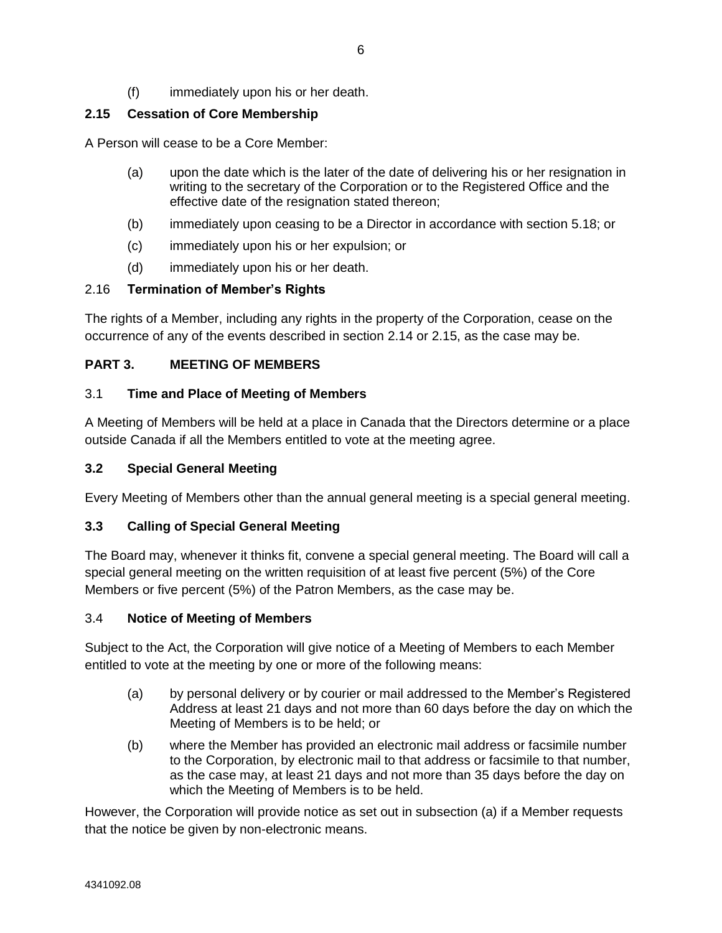(f) immediately upon his or her death.

# <span id="page-9-0"></span>**2.15 Cessation of Core Membership**

A Person will cease to be a Core Member:

- (a) upon the date which is the later of the date of delivering his or her resignation in writing to the secretary of the Corporation or to the Registered Office and the effective date of the resignation stated thereon;
- (b) immediately upon ceasing to be a Director in accordance with section [5.18;](#page-15-4) or
- (c) immediately upon his or her expulsion; or
- (d) immediately upon his or her death.

### <span id="page-9-1"></span>2.16 **Termination of Member's Rights**

The rights of a Member, including any rights in the property of the Corporation, cease on the occurrence of any of the events described in section [2.14](#page-8-5) or [2.15,](#page-9-0) as the case may be.

## <span id="page-9-2"></span>**PART 3. MEETING OF MEMBERS**

### <span id="page-9-3"></span>3.1 **Time and Place of Meeting of Members**

A Meeting of Members will be held at a place in Canada that the Directors determine or a place outside Canada if all the Members entitled to vote at the meeting agree.

### <span id="page-9-4"></span>**3.2 Special General Meeting**

Every Meeting of Members other than the annual general meeting is a special general meeting.

### <span id="page-9-5"></span>**3.3 Calling of Special General Meeting**

The Board may, whenever it thinks fit, convene a special general meeting. The Board will call a special general meeting on the written requisition of at least five percent (5%) of the Core Members or five percent (5%) of the Patron Members, as the case may be.

### <span id="page-9-6"></span>3.4 **Notice of Meeting of Members**

Subject to the Act, the Corporation will give notice of a Meeting of Members to each Member entitled to vote at the meeting by one or more of the following means:

- (a) by personal delivery or by courier or mail addressed to the Member's Registered Address at least 21 days and not more than 60 days before the day on which the Meeting of Members is to be held; or
- (b) where the Member has provided an electronic mail address or facsimile number to the Corporation, by electronic mail to that address or facsimile to that number, as the case may, at least 21 days and not more than 35 days before the day on which the Meeting of Members is to be held.

However, the Corporation will provide notice as set out in subsection (a) if a Member requests that the notice be given by non-electronic means.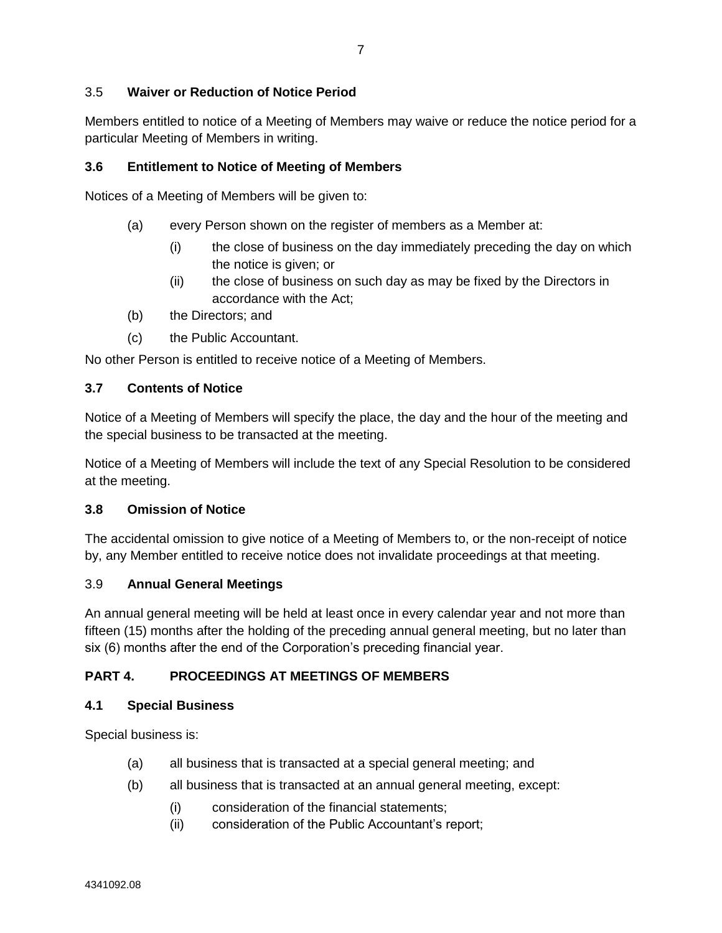## <span id="page-10-0"></span>3.5 **Waiver or Reduction of Notice Period**

Members entitled to notice of a Meeting of Members may waive or reduce the notice period for a particular Meeting of Members in writing.

### <span id="page-10-1"></span>**3.6 Entitlement to Notice of Meeting of Members**

Notices of a Meeting of Members will be given to:

- (a) every Person shown on the register of members as a Member at:
	- (i) the close of business on the day immediately preceding the day on which the notice is given; or
	- (ii) the close of business on such day as may be fixed by the Directors in accordance with the Act;
- (b) the Directors; and
- (c) the Public Accountant.

No other Person is entitled to receive notice of a Meeting of Members.

### <span id="page-10-2"></span>**3.7 Contents of Notice**

Notice of a Meeting of Members will specify the place, the day and the hour of the meeting and the special business to be transacted at the meeting.

Notice of a Meeting of Members will include the text of any Special Resolution to be considered at the meeting.

### <span id="page-10-3"></span>**3.8 Omission of Notice**

The accidental omission to give notice of a Meeting of Members to, or the non-receipt of notice by, any Member entitled to receive notice does not invalidate proceedings at that meeting.

### <span id="page-10-4"></span>3.9 **Annual General Meetings**

An annual general meeting will be held at least once in every calendar year and not more than fifteen (15) months after the holding of the preceding annual general meeting, but no later than six (6) months after the end of the Corporation's preceding financial year.

## <span id="page-10-5"></span>**PART 4. PROCEEDINGS AT MEETINGS OF MEMBERS**

### <span id="page-10-6"></span>**4.1 Special Business**

Special business is:

- (a) all business that is transacted at a special general meeting; and
- (b) all business that is transacted at an annual general meeting, except:
	- (i) consideration of the financial statements;
	- (ii) consideration of the Public Accountant's report;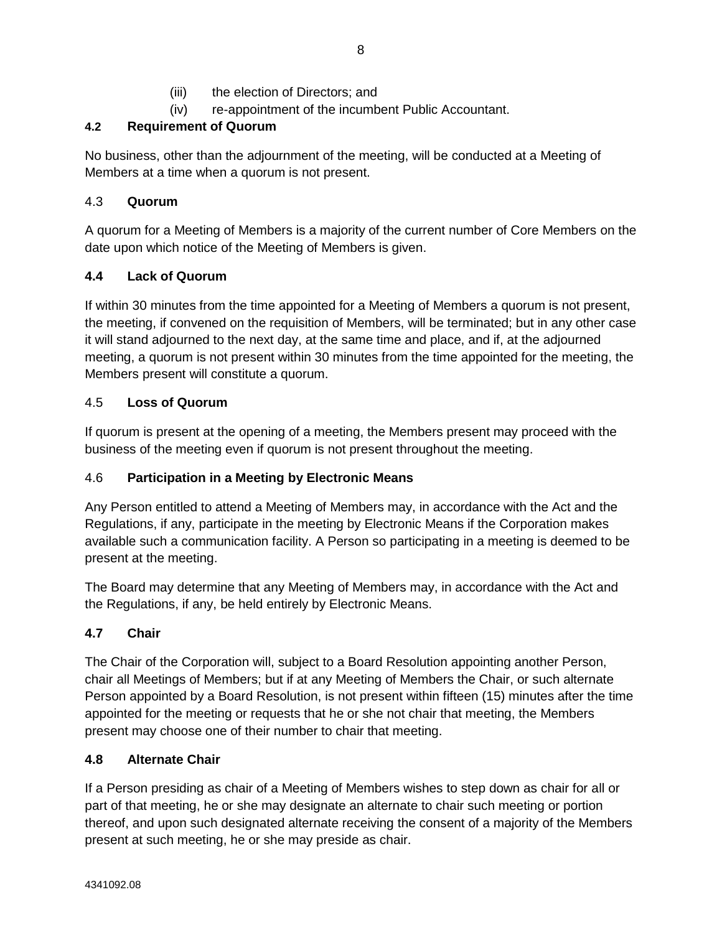- (iii) the election of Directors; and
- (iv) re-appointment of the incumbent Public Accountant.

# <span id="page-11-0"></span>**4.2 Requirement of Quorum**

No business, other than the adjournment of the meeting, will be conducted at a Meeting of Members at a time when a quorum is not present.

# <span id="page-11-1"></span>4.3 **Quorum**

A quorum for a Meeting of Members is a majority of the current number of Core Members on the date upon which notice of the Meeting of Members is given.

# <span id="page-11-2"></span>**4.4 Lack of Quorum**

If within 30 minutes from the time appointed for a Meeting of Members a quorum is not present, the meeting, if convened on the requisition of Members, will be terminated; but in any other case it will stand adjourned to the next day, at the same time and place, and if, at the adjourned meeting, a quorum is not present within 30 minutes from the time appointed for the meeting, the Members present will constitute a quorum.

# <span id="page-11-3"></span>4.5 **Loss of Quorum**

If quorum is present at the opening of a meeting, the Members present may proceed with the business of the meeting even if quorum is not present throughout the meeting.

# <span id="page-11-4"></span>4.6 **Participation in a Meeting by Electronic Means**

Any Person entitled to attend a Meeting of Members may, in accordance with the Act and the Regulations, if any, participate in the meeting by Electronic Means if the Corporation makes available such a communication facility. A Person so participating in a meeting is deemed to be present at the meeting.

The Board may determine that any Meeting of Members may, in accordance with the Act and the Regulations, if any, be held entirely by Electronic Means.

# <span id="page-11-5"></span>**4.7 Chair**

The Chair of the Corporation will, subject to a Board Resolution appointing another Person, chair all Meetings of Members; but if at any Meeting of Members the Chair, or such alternate Person appointed by a Board Resolution, is not present within fifteen (15) minutes after the time appointed for the meeting or requests that he or she not chair that meeting, the Members present may choose one of their number to chair that meeting.

# <span id="page-11-6"></span>**4.8 Alternate Chair**

If a Person presiding as chair of a Meeting of Members wishes to step down as chair for all or part of that meeting, he or she may designate an alternate to chair such meeting or portion thereof, and upon such designated alternate receiving the consent of a majority of the Members present at such meeting, he or she may preside as chair.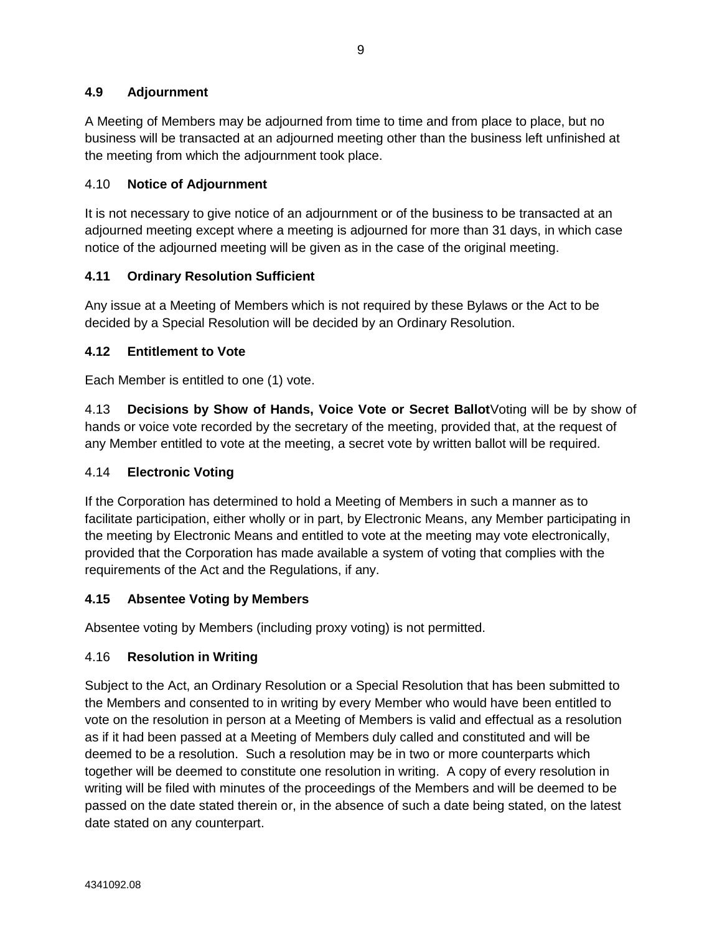# <span id="page-12-0"></span>**4.9 Adjournment**

A Meeting of Members may be adjourned from time to time and from place to place, but no business will be transacted at an adjourned meeting other than the business left unfinished at the meeting from which the adjournment took place.

## <span id="page-12-1"></span>4.10 **Notice of Adjournment**

It is not necessary to give notice of an adjournment or of the business to be transacted at an adjourned meeting except where a meeting is adjourned for more than 31 days, in which case notice of the adjourned meeting will be given as in the case of the original meeting.

# <span id="page-12-2"></span>**4.11 Ordinary Resolution Sufficient**

Any issue at a Meeting of Members which is not required by these Bylaws or the Act to be decided by a Special Resolution will be decided by an Ordinary Resolution.

# <span id="page-12-3"></span>**4.12 Entitlement to Vote**

Each Member is entitled to one (1) vote.

<span id="page-12-4"></span>4.13 **Decisions by Show of Hands, Voice Vote or Secret Ballot**Voting will be by show of hands or voice vote recorded by the secretary of the meeting, provided that, at the request of any Member entitled to vote at the meeting, a secret vote by written ballot will be required.

## <span id="page-12-5"></span>4.14 **Electronic Voting**

If the Corporation has determined to hold a Meeting of Members in such a manner as to facilitate participation, either wholly or in part, by Electronic Means, any Member participating in the meeting by Electronic Means and entitled to vote at the meeting may vote electronically, provided that the Corporation has made available a system of voting that complies with the requirements of the Act and the Regulations, if any.

## <span id="page-12-6"></span>**4.15 Absentee Voting by Members**

Absentee voting by Members (including proxy voting) is not permitted.

## <span id="page-12-7"></span>4.16 **Resolution in Writing**

Subject to the Act, an Ordinary Resolution or a Special Resolution that has been submitted to the Members and consented to in writing by every Member who would have been entitled to vote on the resolution in person at a Meeting of Members is valid and effectual as a resolution as if it had been passed at a Meeting of Members duly called and constituted and will be deemed to be a resolution. Such a resolution may be in two or more counterparts which together will be deemed to constitute one resolution in writing. A copy of every resolution in writing will be filed with minutes of the proceedings of the Members and will be deemed to be passed on the date stated therein or, in the absence of such a date being stated, on the latest date stated on any counterpart.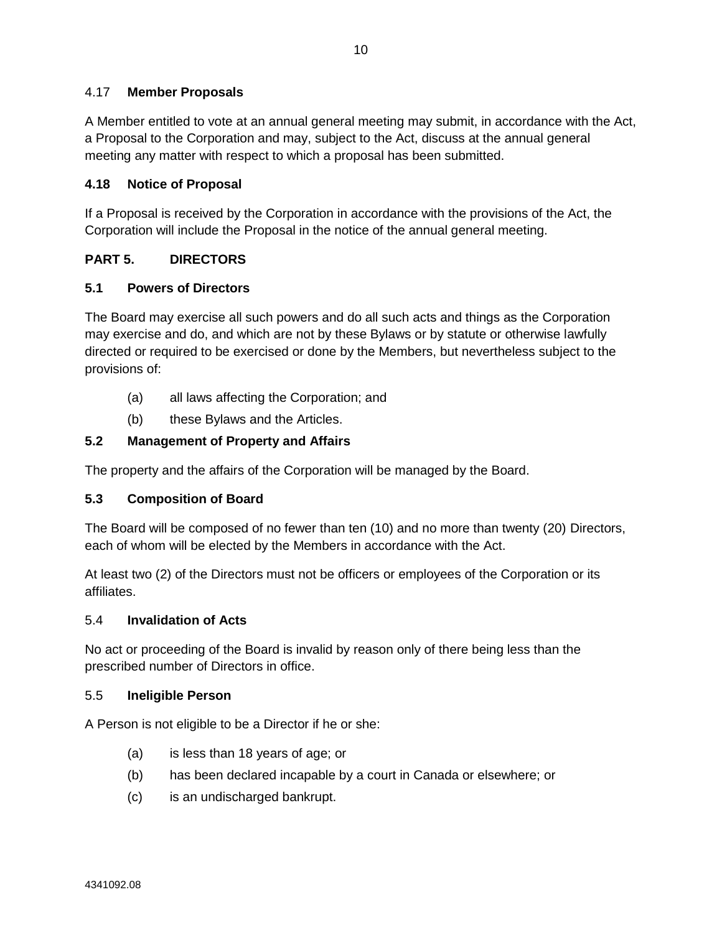# <span id="page-13-0"></span>4.17 **Member Proposals**

A Member entitled to vote at an annual general meeting may submit, in accordance with the Act, a Proposal to the Corporation and may, subject to the Act, discuss at the annual general meeting any matter with respect to which a proposal has been submitted.

### <span id="page-13-1"></span>**4.18 Notice of Proposal**

If a Proposal is received by the Corporation in accordance with the provisions of the Act, the Corporation will include the Proposal in the notice of the annual general meeting.

# <span id="page-13-2"></span>**PART 5. DIRECTORS**

## <span id="page-13-3"></span>**5.1 Powers of Directors**

The Board may exercise all such powers and do all such acts and things as the Corporation may exercise and do, and which are not by these Bylaws or by statute or otherwise lawfully directed or required to be exercised or done by the Members, but nevertheless subject to the provisions of:

- (a) all laws affecting the Corporation; and
- (b) these Bylaws and the Articles.

## <span id="page-13-4"></span>**5.2 Management of Property and Affairs**

The property and the affairs of the Corporation will be managed by the Board.

### <span id="page-13-5"></span>**5.3 Composition of Board**

The Board will be composed of no fewer than ten (10) and no more than twenty (20) Directors, each of whom will be elected by the Members in accordance with the Act.

At least two (2) of the Directors must not be officers or employees of the Corporation or its affiliates.

### <span id="page-13-6"></span>5.4 **Invalidation of Acts**

No act or proceeding of the Board is invalid by reason only of there being less than the prescribed number of Directors in office.

### <span id="page-13-7"></span>5.5 **Ineligible Person**

A Person is not eligible to be a Director if he or she:

- (a) is less than 18 years of age; or
- (b) has been declared incapable by a court in Canada or elsewhere; or
- (c) is an undischarged bankrupt.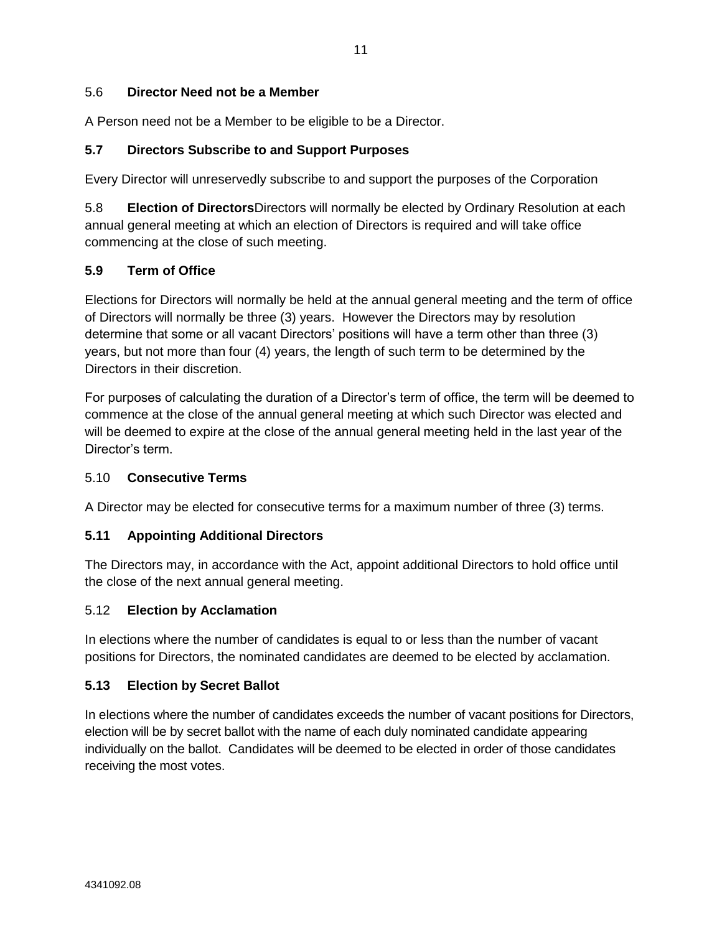## <span id="page-14-0"></span>5.6 **Director Need not be a Member**

A Person need not be a Member to be eligible to be a Director.

### <span id="page-14-1"></span>**5.7 Directors Subscribe to and Support Purposes**

Every Director will unreservedly subscribe to and support the purposes of the Corporation

<span id="page-14-2"></span>5.8 **Election of Directors**Directors will normally be elected by Ordinary Resolution at each annual general meeting at which an election of Directors is required and will take office commencing at the close of such meeting.

## <span id="page-14-3"></span>**5.9 Term of Office**

Elections for Directors will normally be held at the annual general meeting and the term of office of Directors will normally be three (3) years. However the Directors may by resolution determine that some or all vacant Directors' positions will have a term other than three (3) years, but not more than four (4) years, the length of such term to be determined by the Directors in their discretion.

For purposes of calculating the duration of a Director's term of office, the term will be deemed to commence at the close of the annual general meeting at which such Director was elected and will be deemed to expire at the close of the annual general meeting held in the last year of the Director's term.

### <span id="page-14-4"></span>5.10 **Consecutive Terms**

A Director may be elected for consecutive terms for a maximum number of three (3) terms.

## <span id="page-14-5"></span>**5.11 Appointing Additional Directors**

The Directors may, in accordance with the Act, appoint additional Directors to hold office until the close of the next annual general meeting.

### <span id="page-14-6"></span>5.12 **Election by Acclamation**

In elections where the number of candidates is equal to or less than the number of vacant positions for Directors, the nominated candidates are deemed to be elected by acclamation.

### <span id="page-14-7"></span>**5.13 Election by Secret Ballot**

In elections where the number of candidates exceeds the number of vacant positions for Directors, election will be by secret ballot with the name of each duly nominated candidate appearing individually on the ballot. Candidates will be deemed to be elected in order of those candidates receiving the most votes.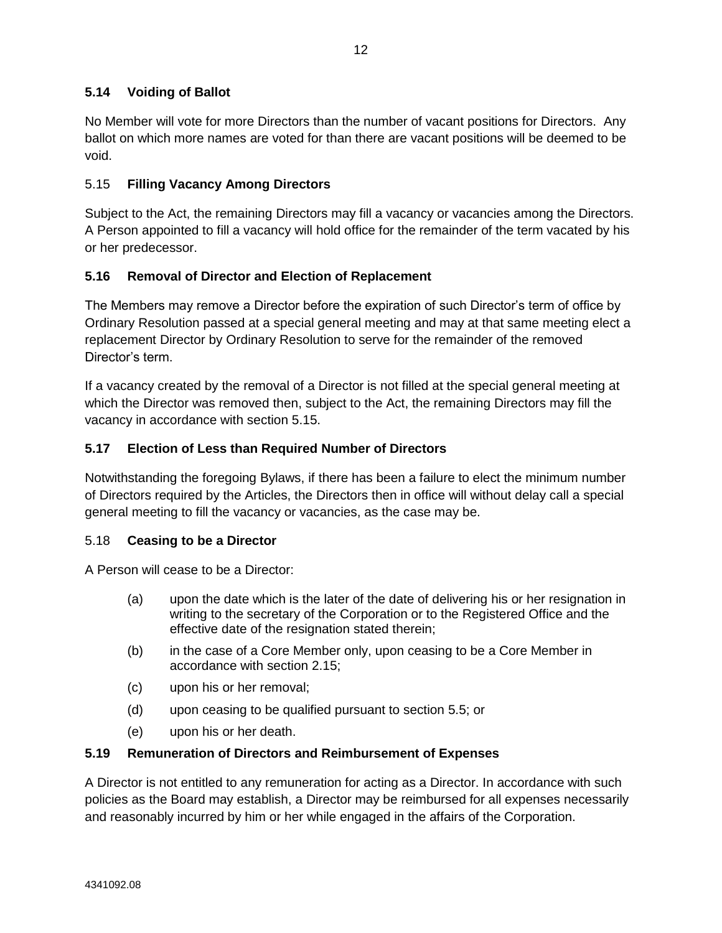# <span id="page-15-0"></span>**5.14 Voiding of Ballot**

No Member will vote for more Directors than the number of vacant positions for Directors. Any ballot on which more names are voted for than there are vacant positions will be deemed to be void.

## <span id="page-15-1"></span>5.15 **Filling Vacancy Among Directors**

Subject to the Act, the remaining Directors may fill a vacancy or vacancies among the Directors. A Person appointed to fill a vacancy will hold office for the remainder of the term vacated by his or her predecessor.

## <span id="page-15-2"></span>**5.16 Removal of Director and Election of Replacement**

The Members may remove a Director before the expiration of such Director's term of office by Ordinary Resolution passed at a special general meeting and may at that same meeting elect a replacement Director by Ordinary Resolution to serve for the remainder of the removed Director's term.

If a vacancy created by the removal of a Director is not filled at the special general meeting at which the Director was removed then, subject to the Act, the remaining Directors may fill the vacancy in accordance with section [5.15.](#page-15-1)

### <span id="page-15-3"></span>**5.17 Election of Less than Required Number of Directors**

Notwithstanding the foregoing Bylaws, if there has been a failure to elect the minimum number of Directors required by the Articles, the Directors then in office will without delay call a special general meeting to fill the vacancy or vacancies, as the case may be.

### <span id="page-15-4"></span>5.18 **Ceasing to be a Director**

A Person will cease to be a Director:

- (a) upon the date which is the later of the date of delivering his or her resignation in writing to the secretary of the Corporation or to the Registered Office and the effective date of the resignation stated therein;
- (b) in the case of a Core Member only, upon ceasing to be a Core Member in accordance with section [2.15;](#page-9-0)
- (c) upon his or her removal;
- (d) upon ceasing to be qualified pursuant to section [5.5;](#page-13-7) or
- (e) upon his or her death.

### <span id="page-15-5"></span>**5.19 Remuneration of Directors and Reimbursement of Expenses**

A Director is not entitled to any remuneration for acting as a Director. In accordance with such policies as the Board may establish, a Director may be reimbursed for all expenses necessarily and reasonably incurred by him or her while engaged in the affairs of the Corporation.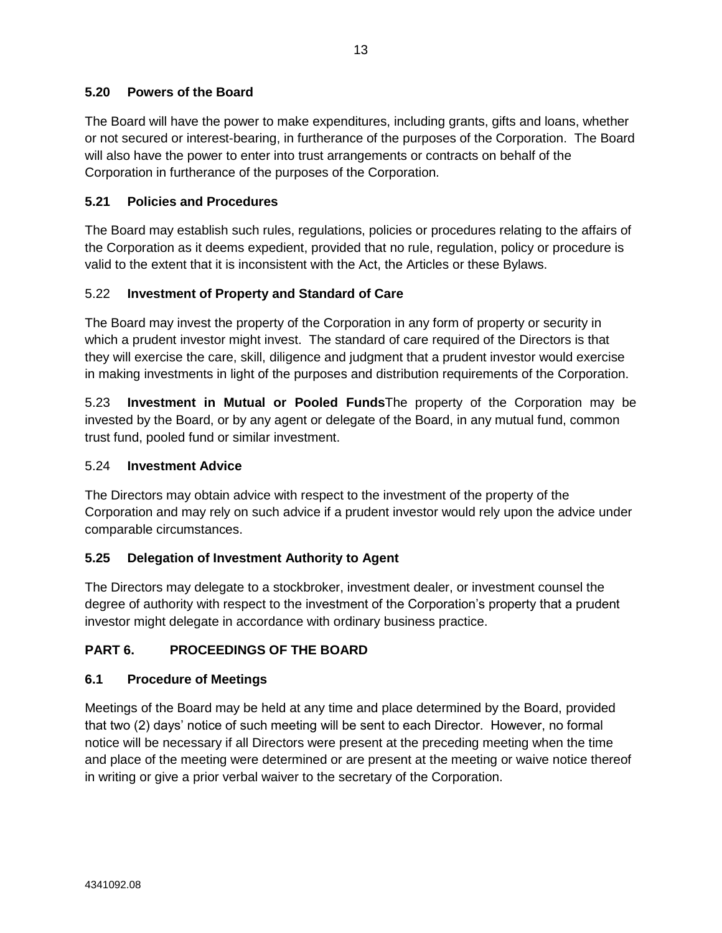# <span id="page-16-0"></span>**5.20 Powers of the Board**

The Board will have the power to make expenditures, including grants, gifts and loans, whether or not secured or interest-bearing, in furtherance of the purposes of the Corporation. The Board will also have the power to enter into trust arrangements or contracts on behalf of the Corporation in furtherance of the purposes of the Corporation.

# <span id="page-16-1"></span>**5.21 Policies and Procedures**

The Board may establish such rules, regulations, policies or procedures relating to the affairs of the Corporation as it deems expedient, provided that no rule, regulation, policy or procedure is valid to the extent that it is inconsistent with the Act, the Articles or these Bylaws.

## <span id="page-16-2"></span>5.22 **Investment of Property and Standard of Care**

The Board may invest the property of the Corporation in any form of property or security in which a prudent investor might invest. The standard of care required of the Directors is that they will exercise the care, skill, diligence and judgment that a prudent investor would exercise in making investments in light of the purposes and distribution requirements of the Corporation.

<span id="page-16-3"></span>5.23 **Investment in Mutual or Pooled Funds**The property of the Corporation may be invested by the Board, or by any agent or delegate of the Board, in any mutual fund, common trust fund, pooled fund or similar investment.

### <span id="page-16-4"></span>5.24 **Investment Advice**

The Directors may obtain advice with respect to the investment of the property of the Corporation and may rely on such advice if a prudent investor would rely upon the advice under comparable circumstances.

## <span id="page-16-5"></span>**5.25 Delegation of Investment Authority to Agent**

The Directors may delegate to a stockbroker, investment dealer, or investment counsel the degree of authority with respect to the investment of the Corporation's property that a prudent investor might delegate in accordance with ordinary business practice.

# <span id="page-16-6"></span>**PART 6. PROCEEDINGS OF THE BOARD**

## <span id="page-16-7"></span>**6.1 Procedure of Meetings**

Meetings of the Board may be held at any time and place determined by the Board, provided that two (2) days' notice of such meeting will be sent to each Director. However, no formal notice will be necessary if all Directors were present at the preceding meeting when the time and place of the meeting were determined or are present at the meeting or waive notice thereof in writing or give a prior verbal waiver to the secretary of the Corporation.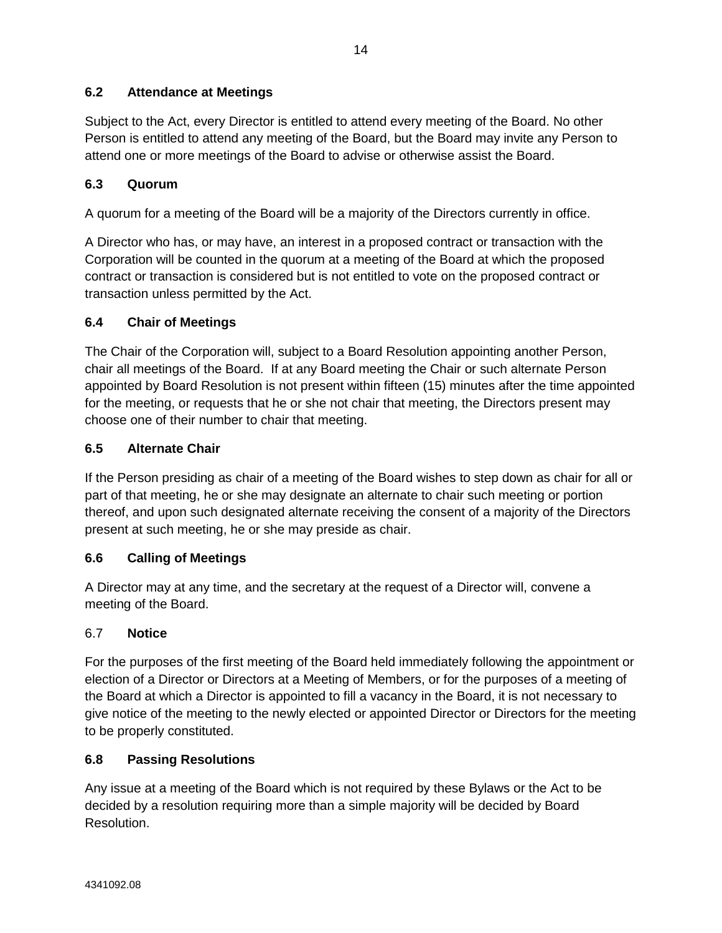# <span id="page-17-0"></span>**6.2 Attendance at Meetings**

Subject to the Act, every Director is entitled to attend every meeting of the Board. No other Person is entitled to attend any meeting of the Board, but the Board may invite any Person to attend one or more meetings of the Board to advise or otherwise assist the Board.

# <span id="page-17-1"></span>**6.3 Quorum**

A quorum for a meeting of the Board will be a majority of the Directors currently in office.

A Director who has, or may have, an interest in a proposed contract or transaction with the Corporation will be counted in the quorum at a meeting of the Board at which the proposed contract or transaction is considered but is not entitled to vote on the proposed contract or transaction unless permitted by the Act.

## <span id="page-17-2"></span>**6.4 Chair of Meetings**

The Chair of the Corporation will, subject to a Board Resolution appointing another Person, chair all meetings of the Board. If at any Board meeting the Chair or such alternate Person appointed by Board Resolution is not present within fifteen (15) minutes after the time appointed for the meeting, or requests that he or she not chair that meeting, the Directors present may choose one of their number to chair that meeting.

## <span id="page-17-3"></span>**6.5 Alternate Chair**

If the Person presiding as chair of a meeting of the Board wishes to step down as chair for all or part of that meeting, he or she may designate an alternate to chair such meeting or portion thereof, and upon such designated alternate receiving the consent of a majority of the Directors present at such meeting, he or she may preside as chair.

## <span id="page-17-4"></span>**6.6 Calling of Meetings**

A Director may at any time, and the secretary at the request of a Director will, convene a meeting of the Board.

### <span id="page-17-5"></span>6.7 **Notice**

For the purposes of the first meeting of the Board held immediately following the appointment or election of a Director or Directors at a Meeting of Members, or for the purposes of a meeting of the Board at which a Director is appointed to fill a vacancy in the Board, it is not necessary to give notice of the meeting to the newly elected or appointed Director or Directors for the meeting to be properly constituted.

### <span id="page-17-6"></span>**6.8 Passing Resolutions**

Any issue at a meeting of the Board which is not required by these Bylaws or the Act to be decided by a resolution requiring more than a simple majority will be decided by Board Resolution.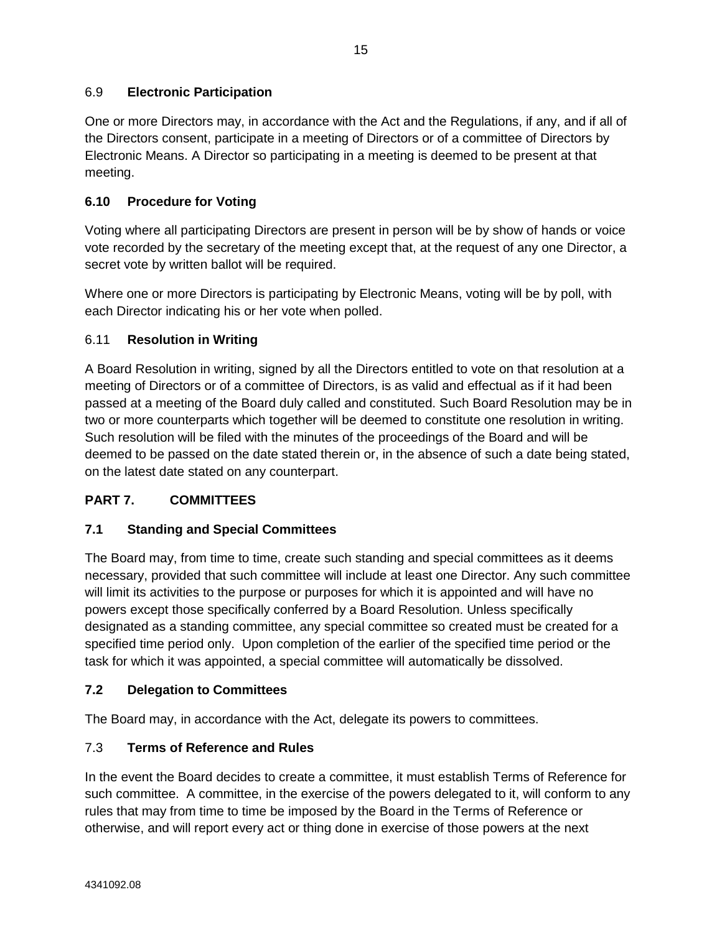<span id="page-18-0"></span>One or more Directors may, in accordance with the Act and the Regulations, if any, and if all of the Directors consent, participate in a meeting of Directors or of a committee of Directors by Electronic Means. A Director so participating in a meeting is deemed to be present at that meeting.

# <span id="page-18-1"></span>**6.10 Procedure for Voting**

Voting where all participating Directors are present in person will be by show of hands or voice vote recorded by the secretary of the meeting except that, at the request of any one Director, a secret vote by written ballot will be required.

Where one or more Directors is participating by Electronic Means, voting will be by poll, with each Director indicating his or her vote when polled.

# <span id="page-18-2"></span>6.11 **Resolution in Writing**

A Board Resolution in writing, signed by all the Directors entitled to vote on that resolution at a meeting of Directors or of a committee of Directors, is as valid and effectual as if it had been passed at a meeting of the Board duly called and constituted. Such Board Resolution may be in two or more counterparts which together will be deemed to constitute one resolution in writing. Such resolution will be filed with the minutes of the proceedings of the Board and will be deemed to be passed on the date stated therein or, in the absence of such a date being stated, on the latest date stated on any counterpart.

# <span id="page-18-3"></span>**PART 7. COMMITTEES**

# <span id="page-18-4"></span>**7.1 Standing and Special Committees**

The Board may, from time to time, create such standing and special committees as it deems necessary, provided that such committee will include at least one Director. Any such committee will limit its activities to the purpose or purposes for which it is appointed and will have no powers except those specifically conferred by a Board Resolution. Unless specifically designated as a standing committee, any special committee so created must be created for a specified time period only. Upon completion of the earlier of the specified time period or the task for which it was appointed, a special committee will automatically be dissolved.

# <span id="page-18-5"></span>**7.2 Delegation to Committees**

The Board may, in accordance with the Act, delegate its powers to committees.

# <span id="page-18-6"></span>7.3 **Terms of Reference and Rules**

In the event the Board decides to create a committee, it must establish Terms of Reference for such committee. A committee, in the exercise of the powers delegated to it, will conform to any rules that may from time to time be imposed by the Board in the Terms of Reference or otherwise, and will report every act or thing done in exercise of those powers at the next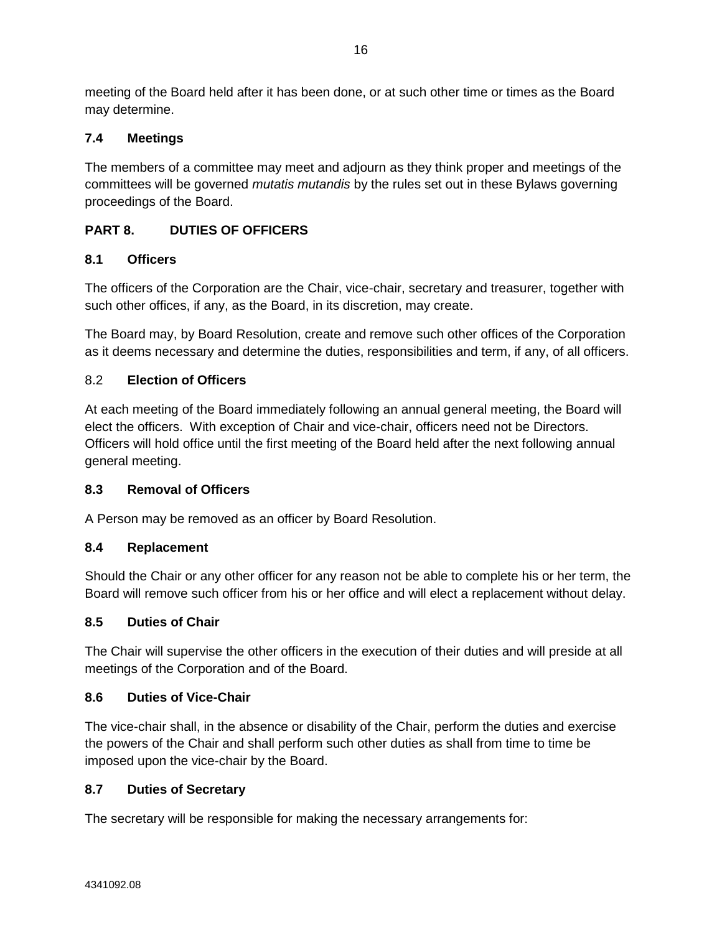meeting of the Board held after it has been done, or at such other time or times as the Board may determine.

# <span id="page-19-0"></span>**7.4 Meetings**

The members of a committee may meet and adjourn as they think proper and meetings of the committees will be governed *mutatis mutandis* by the rules set out in these Bylaws governing proceedings of the Board.

# <span id="page-19-1"></span>**PART 8. DUTIES OF OFFICERS**

# <span id="page-19-2"></span>**8.1 Officers**

The officers of the Corporation are the Chair, vice-chair, secretary and treasurer, together with such other offices, if any, as the Board, in its discretion, may create.

The Board may, by Board Resolution, create and remove such other offices of the Corporation as it deems necessary and determine the duties, responsibilities and term, if any, of all officers.

# <span id="page-19-3"></span>8.2 **Election of Officers**

At each meeting of the Board immediately following an annual general meeting, the Board will elect the officers. With exception of Chair and vice-chair, officers need not be Directors. Officers will hold office until the first meeting of the Board held after the next following annual general meeting.

## <span id="page-19-4"></span>**8.3 Removal of Officers**

A Person may be removed as an officer by Board Resolution.

## <span id="page-19-5"></span>**8.4 Replacement**

Should the Chair or any other officer for any reason not be able to complete his or her term, the Board will remove such officer from his or her office and will elect a replacement without delay.

## <span id="page-19-6"></span>**8.5 Duties of Chair**

The Chair will supervise the other officers in the execution of their duties and will preside at all meetings of the Corporation and of the Board.

## <span id="page-19-7"></span>**8.6 Duties of Vice-Chair**

The vice-chair shall, in the absence or disability of the Chair, perform the duties and exercise the powers of the Chair and shall perform such other duties as shall from time to time be imposed upon the vice-chair by the Board.

## <span id="page-19-8"></span>**8.7 Duties of Secretary**

The secretary will be responsible for making the necessary arrangements for: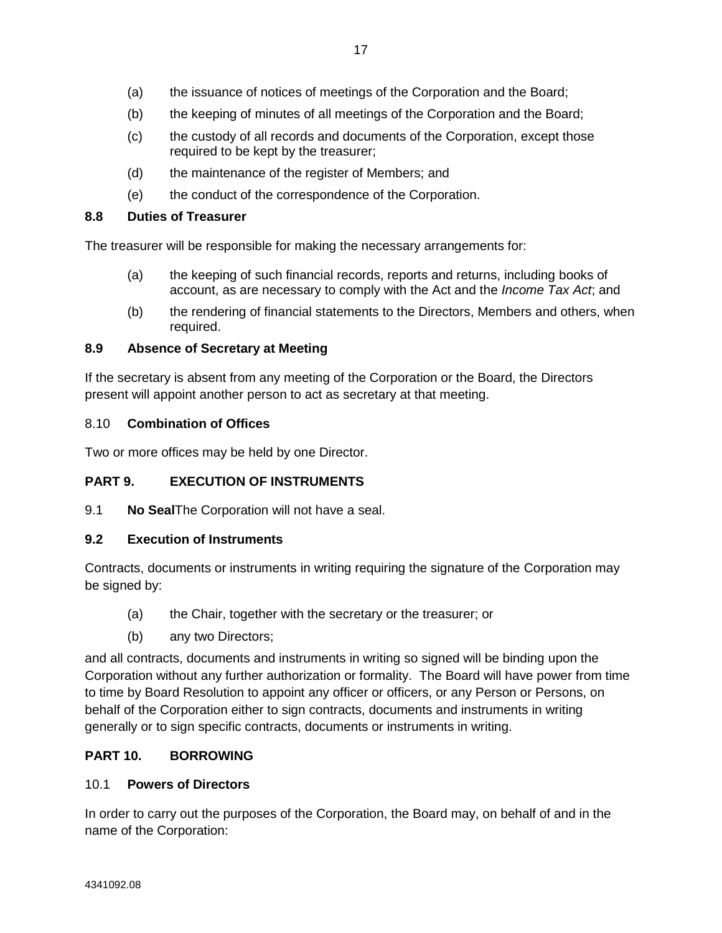- (b) the keeping of minutes of all meetings of the Corporation and the Board;
- (c) the custody of all records and documents of the Corporation, except those required to be kept by the treasurer;
- (d) the maintenance of the register of Members; and
- (e) the conduct of the correspondence of the Corporation.

# <span id="page-20-0"></span>**8.8 Duties of Treasurer**

The treasurer will be responsible for making the necessary arrangements for:

- (a) the keeping of such financial records, reports and returns, including books of account, as are necessary to comply with the Act and the *Income Tax Act*; and
- (b) the rendering of financial statements to the Directors, Members and others, when required.

# <span id="page-20-1"></span>**8.9 Absence of Secretary at Meeting**

If the secretary is absent from any meeting of the Corporation or the Board, the Directors present will appoint another person to act as secretary at that meeting.

# <span id="page-20-2"></span>8.10 **Combination of Offices**

Two or more offices may be held by one Director.

# <span id="page-20-3"></span>**PART 9. EXECUTION OF INSTRUMENTS**

<span id="page-20-4"></span>9.1 **No Seal**The Corporation will not have a seal.

# <span id="page-20-5"></span>**9.2 Execution of Instruments**

Contracts, documents or instruments in writing requiring the signature of the Corporation may be signed by:

- (a) the Chair, together with the secretary or the treasurer; or
- (b) any two Directors;

and all contracts, documents and instruments in writing so signed will be binding upon the Corporation without any further authorization or formality. The Board will have power from time to time by Board Resolution to appoint any officer or officers, or any Person or Persons, on behalf of the Corporation either to sign contracts, documents and instruments in writing generally or to sign specific contracts, documents or instruments in writing.

# <span id="page-20-6"></span>**PART 10. BORROWING**

## <span id="page-20-7"></span>10.1 **Powers of Directors**

In order to carry out the purposes of the Corporation, the Board may, on behalf of and in the name of the Corporation: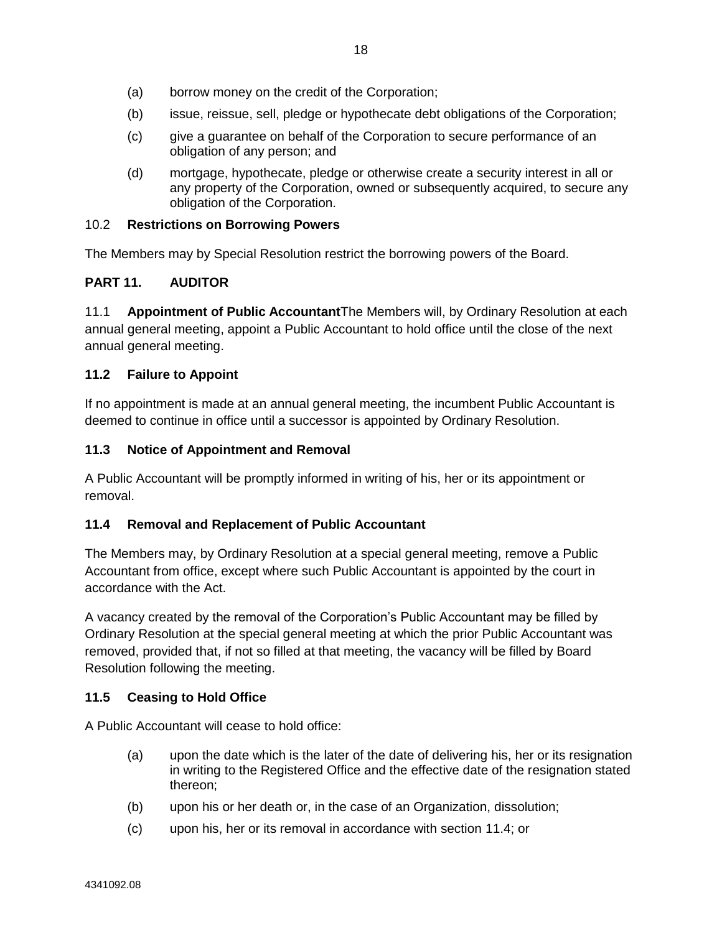- (a) borrow money on the credit of the Corporation;
- (b) issue, reissue, sell, pledge or hypothecate debt obligations of the Corporation;
- (c) give a guarantee on behalf of the Corporation to secure performance of an obligation of any person; and
- (d) mortgage, hypothecate, pledge or otherwise create a security interest in all or any property of the Corporation, owned or subsequently acquired, to secure any obligation of the Corporation.

### <span id="page-21-0"></span>10.2 **Restrictions on Borrowing Powers**

The Members may by Special Resolution restrict the borrowing powers of the Board.

### <span id="page-21-1"></span>**PART 11. AUDITOR**

<span id="page-21-2"></span>11.1 **Appointment of Public Accountant**The Members will, by Ordinary Resolution at each annual general meeting, appoint a Public Accountant to hold office until the close of the next annual general meeting.

### <span id="page-21-3"></span>**11.2 Failure to Appoint**

If no appointment is made at an annual general meeting, the incumbent Public Accountant is deemed to continue in office until a successor is appointed by Ordinary Resolution.

### <span id="page-21-4"></span>**11.3 Notice of Appointment and Removal**

A Public Accountant will be promptly informed in writing of his, her or its appointment or removal.

### <span id="page-21-5"></span>**11.4 Removal and Replacement of Public Accountant**

The Members may, by Ordinary Resolution at a special general meeting, remove a Public Accountant from office, except where such Public Accountant is appointed by the court in accordance with the Act.

A vacancy created by the removal of the Corporation's Public Accountant may be filled by Ordinary Resolution at the special general meeting at which the prior Public Accountant was removed, provided that, if not so filled at that meeting, the vacancy will be filled by Board Resolution following the meeting.

### <span id="page-21-6"></span>**11.5 Ceasing to Hold Office**

A Public Accountant will cease to hold office:

- (a) upon the date which is the later of the date of delivering his, her or its resignation in writing to the Registered Office and the effective date of the resignation stated thereon;
- (b) upon his or her death or, in the case of an Organization, dissolution;
- (c) upon his, her or its removal in accordance with section [11.4;](#page-21-5) or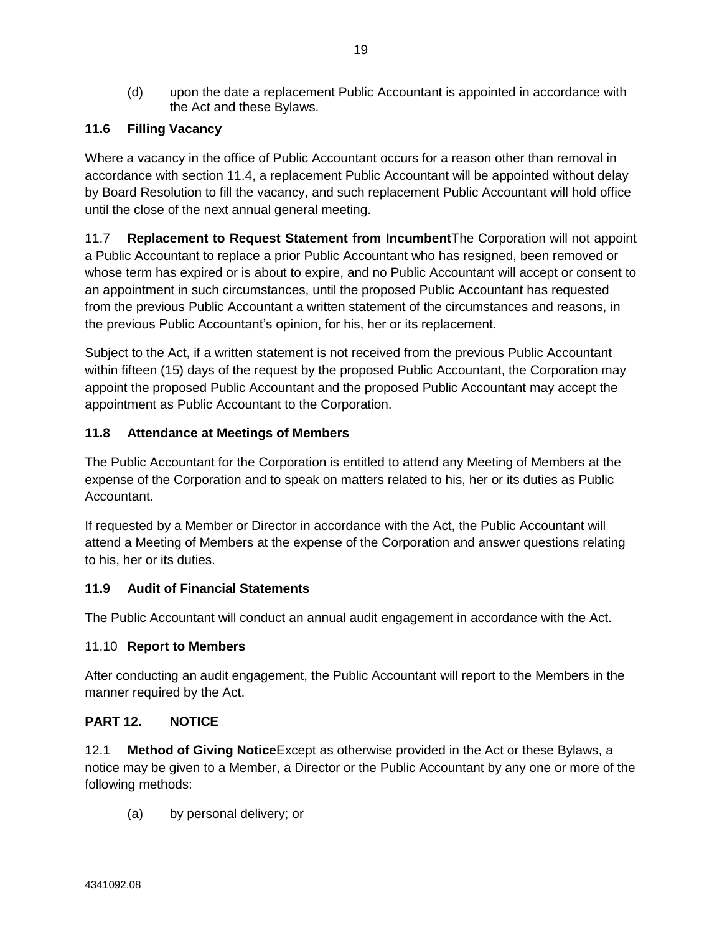(d) upon the date a replacement Public Accountant is appointed in accordance with the Act and these Bylaws.

# <span id="page-22-0"></span>**11.6 Filling Vacancy**

Where a vacancy in the office of Public Accountant occurs for a reason other than removal in accordance with section [11.4,](#page-21-5) a replacement Public Accountant will be appointed without delay by Board Resolution to fill the vacancy, and such replacement Public Accountant will hold office until the close of the next annual general meeting.

<span id="page-22-1"></span>11.7 **Replacement to Request Statement from Incumbent**The Corporation will not appoint a Public Accountant to replace a prior Public Accountant who has resigned, been removed or whose term has expired or is about to expire, and no Public Accountant will accept or consent to an appointment in such circumstances, until the proposed Public Accountant has requested from the previous Public Accountant a written statement of the circumstances and reasons, in the previous Public Accountant's opinion, for his, her or its replacement.

Subject to the Act, if a written statement is not received from the previous Public Accountant within fifteen (15) days of the request by the proposed Public Accountant, the Corporation may appoint the proposed Public Accountant and the proposed Public Accountant may accept the appointment as Public Accountant to the Corporation.

# <span id="page-22-2"></span>**11.8 Attendance at Meetings of Members**

The Public Accountant for the Corporation is entitled to attend any Meeting of Members at the expense of the Corporation and to speak on matters related to his, her or its duties as Public Accountant.

If requested by a Member or Director in accordance with the Act, the Public Accountant will attend a Meeting of Members at the expense of the Corporation and answer questions relating to his, her or its duties.

## <span id="page-22-3"></span>**11.9 Audit of Financial Statements**

The Public Accountant will conduct an annual audit engagement in accordance with the Act.

## <span id="page-22-4"></span>11.10 **Report to Members**

After conducting an audit engagement, the Public Accountant will report to the Members in the manner required by the Act.

## <span id="page-22-5"></span>**PART 12. NOTICE**

<span id="page-22-6"></span>12.1 **Method of Giving Notice**Except as otherwise provided in the Act or these Bylaws, a notice may be given to a Member, a Director or the Public Accountant by any one or more of the following methods:

(a) by personal delivery; or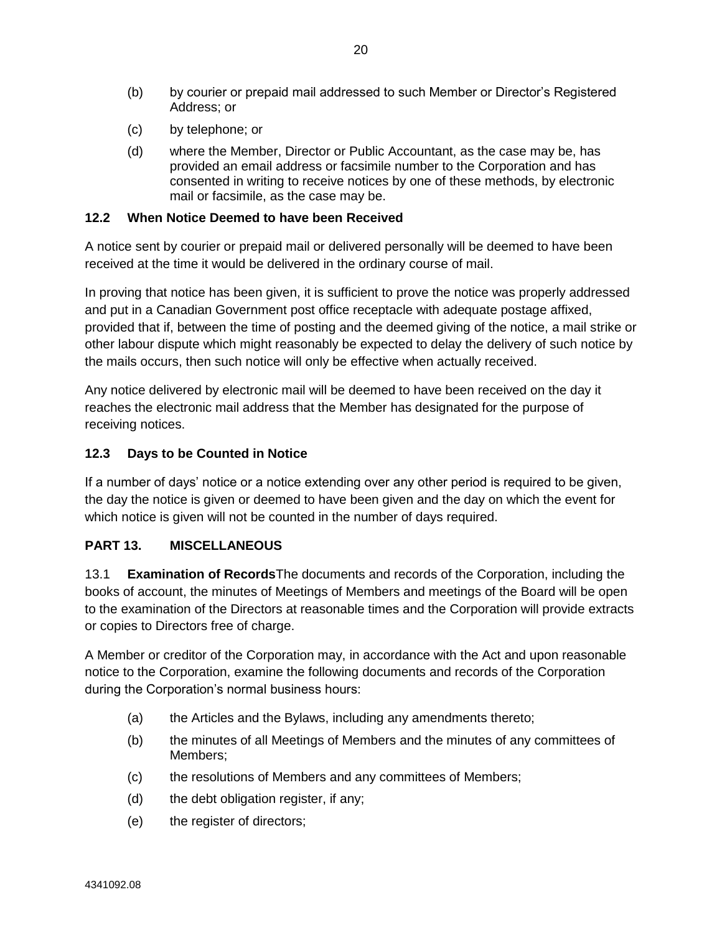- (b) by courier or prepaid mail addressed to such Member or Director's Registered Address; or
- (c) by telephone; or
- (d) where the Member, Director or Public Accountant, as the case may be, has provided an email address or facsimile number to the Corporation and has consented in writing to receive notices by one of these methods, by electronic mail or facsimile, as the case may be.

### <span id="page-23-0"></span>**12.2 When Notice Deemed to have been Received**

A notice sent by courier or prepaid mail or delivered personally will be deemed to have been received at the time it would be delivered in the ordinary course of mail.

In proving that notice has been given, it is sufficient to prove the notice was properly addressed and put in a Canadian Government post office receptacle with adequate postage affixed, provided that if, between the time of posting and the deemed giving of the notice, a mail strike or other labour dispute which might reasonably be expected to delay the delivery of such notice by the mails occurs, then such notice will only be effective when actually received.

Any notice delivered by electronic mail will be deemed to have been received on the day it reaches the electronic mail address that the Member has designated for the purpose of receiving notices.

## <span id="page-23-1"></span>**12.3 Days to be Counted in Notice**

If a number of days' notice or a notice extending over any other period is required to be given, the day the notice is given or deemed to have been given and the day on which the event for which notice is given will not be counted in the number of days required.

## <span id="page-23-2"></span>**PART 13. MISCELLANEOUS**

<span id="page-23-3"></span>13.1 **Examination of Records**The documents and records of the Corporation, including the books of account, the minutes of Meetings of Members and meetings of the Board will be open to the examination of the Directors at reasonable times and the Corporation will provide extracts or copies to Directors free of charge.

A Member or creditor of the Corporation may, in accordance with the Act and upon reasonable notice to the Corporation, examine the following documents and records of the Corporation during the Corporation's normal business hours:

- (a) the Articles and the Bylaws, including any amendments thereto;
- (b) the minutes of all Meetings of Members and the minutes of any committees of Members;
- (c) the resolutions of Members and any committees of Members;
- (d) the debt obligation register, if any;
- (e) the register of directors;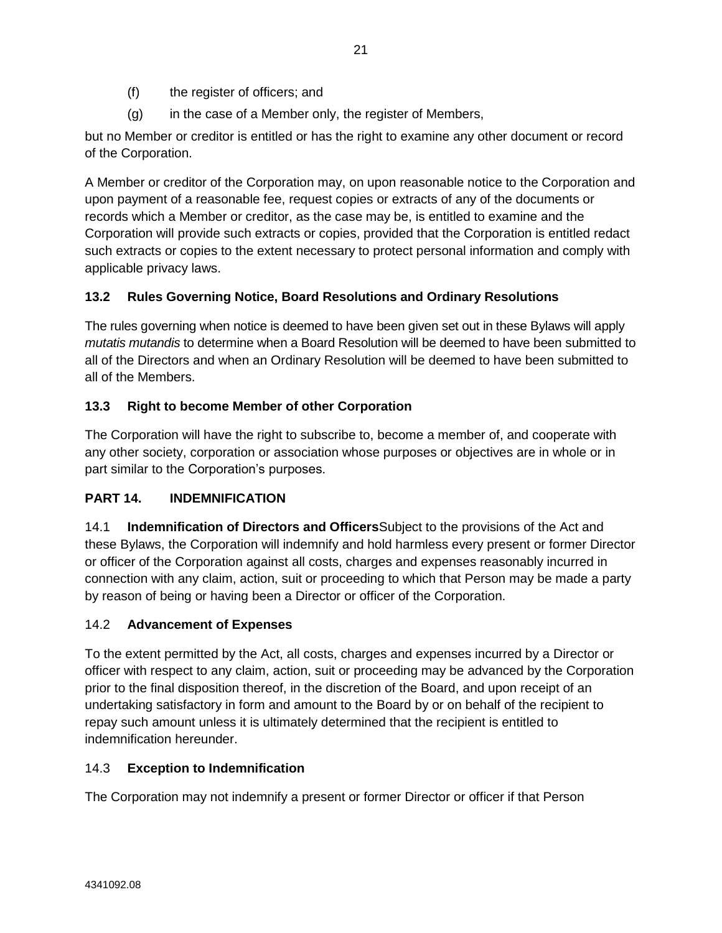- (f) the register of officers; and
- (g) in the case of a Member only, the register of Members,

but no Member or creditor is entitled or has the right to examine any other document or record of the Corporation.

A Member or creditor of the Corporation may, on upon reasonable notice to the Corporation and upon payment of a reasonable fee, request copies or extracts of any of the documents or records which a Member or creditor, as the case may be, is entitled to examine and the Corporation will provide such extracts or copies, provided that the Corporation is entitled redact such extracts or copies to the extent necessary to protect personal information and comply with applicable privacy laws.

# <span id="page-24-0"></span>**13.2 Rules Governing Notice, Board Resolutions and Ordinary Resolutions**

The rules governing when notice is deemed to have been given set out in these Bylaws will apply *mutatis mutandis* to determine when a Board Resolution will be deemed to have been submitted to all of the Directors and when an Ordinary Resolution will be deemed to have been submitted to all of the Members.

# <span id="page-24-1"></span>**13.3 Right to become Member of other Corporation**

The Corporation will have the right to subscribe to, become a member of, and cooperate with any other society, corporation or association whose purposes or objectives are in whole or in part similar to the Corporation's purposes.

# <span id="page-24-2"></span>**PART 14. INDEMNIFICATION**

<span id="page-24-3"></span>14.1 **Indemnification of Directors and Officers**Subject to the provisions of the Act and these Bylaws, the Corporation will indemnify and hold harmless every present or former Director or officer of the Corporation against all costs, charges and expenses reasonably incurred in connection with any claim, action, suit or proceeding to which that Person may be made a party by reason of being or having been a Director or officer of the Corporation.

## <span id="page-24-4"></span>14.2 **Advancement of Expenses**

To the extent permitted by the Act, all costs, charges and expenses incurred by a Director or officer with respect to any claim, action, suit or proceeding may be advanced by the Corporation prior to the final disposition thereof, in the discretion of the Board, and upon receipt of an undertaking satisfactory in form and amount to the Board by or on behalf of the recipient to repay such amount unless it is ultimately determined that the recipient is entitled to indemnification hereunder.

## <span id="page-24-5"></span>14.3 **Exception to Indemnification**

The Corporation may not indemnify a present or former Director or officer if that Person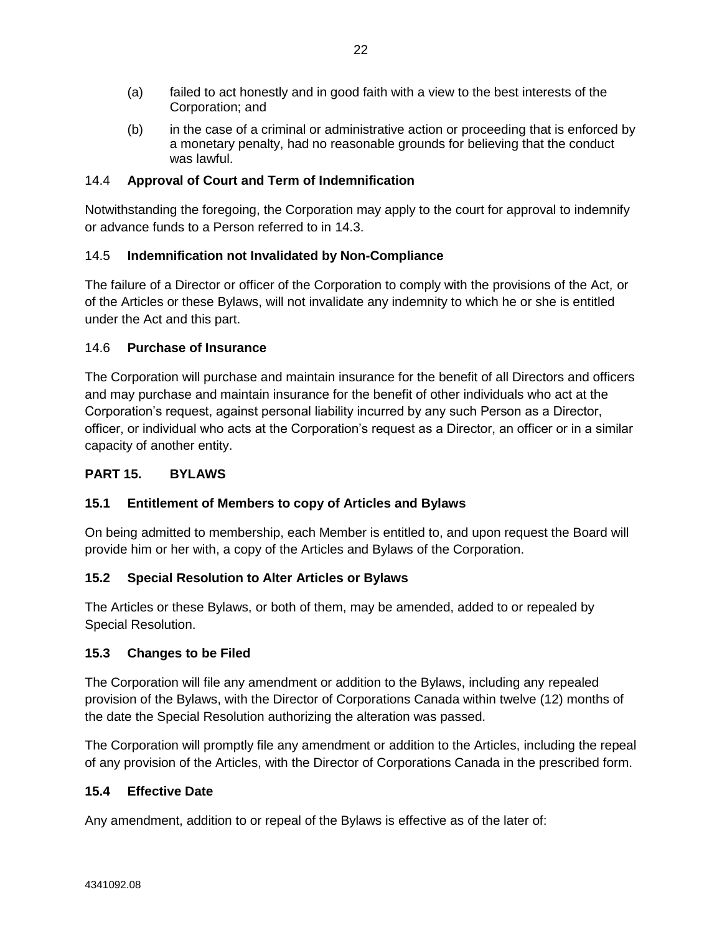- (a) failed to act honestly and in good faith with a view to the best interests of the Corporation; and
- (b) in the case of a criminal or administrative action or proceeding that is enforced by a monetary penalty, had no reasonable grounds for believing that the conduct was lawful.

# <span id="page-25-0"></span>14.4 **Approval of Court and Term of Indemnification**

Notwithstanding the foregoing, the Corporation may apply to the court for approval to indemnify or advance funds to a Person referred to in [14.3.](#page-24-5)

# <span id="page-25-1"></span>14.5 **Indemnification not Invalidated by Non-Compliance**

The failure of a Director or officer of the Corporation to comply with the provisions of the Act*,* or of the Articles or these Bylaws, will not invalidate any indemnity to which he or she is entitled under the Act and this part.

## <span id="page-25-2"></span>14.6 **Purchase of Insurance**

The Corporation will purchase and maintain insurance for the benefit of all Directors and officers and may purchase and maintain insurance for the benefit of other individuals who act at the Corporation's request, against personal liability incurred by any such Person as a Director, officer, or individual who acts at the Corporation's request as a Director, an officer or in a similar capacity of another entity.

## <span id="page-25-3"></span>**PART 15. BYLAWS**

## <span id="page-25-4"></span>**15.1 Entitlement of Members to copy of Articles and Bylaws**

On being admitted to membership, each Member is entitled to, and upon request the Board will provide him or her with, a copy of the Articles and Bylaws of the Corporation.

## <span id="page-25-5"></span>**15.2 Special Resolution to Alter Articles or Bylaws**

The Articles or these Bylaws, or both of them, may be amended, added to or repealed by Special Resolution.

## <span id="page-25-6"></span>**15.3 Changes to be Filed**

The Corporation will file any amendment or addition to the Bylaws, including any repealed provision of the Bylaws, with the Director of Corporations Canada within twelve (12) months of the date the Special Resolution authorizing the alteration was passed.

The Corporation will promptly file any amendment or addition to the Articles, including the repeal of any provision of the Articles, with the Director of Corporations Canada in the prescribed form.

## <span id="page-25-7"></span>**15.4 Effective Date**

Any amendment, addition to or repeal of the Bylaws is effective as of the later of: